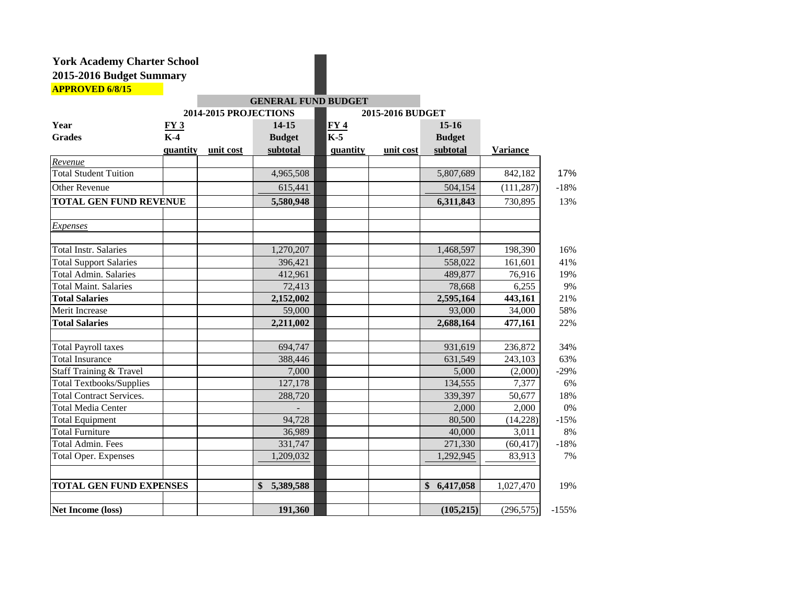|                                 |          |                       | <b>GENERAL FUND BUDGET</b> |                   |                  |               |                 |         |
|---------------------------------|----------|-----------------------|----------------------------|-------------------|------------------|---------------|-----------------|---------|
|                                 |          | 2014-2015 PROJECTIONS |                            |                   | 2015-2016 BUDGET |               |                 |         |
| Year                            | FY3      |                       | $14 - 15$                  |                   |                  | $15-16$       |                 |         |
| <b>Grades</b>                   | $K-4$    |                       | <b>Budget</b>              | $\frac{FY4}{K-5}$ |                  | <b>Budget</b> |                 |         |
|                                 | quantity | unit cost             | subtotal                   | quantity          | unit cost        | subtotal      | <b>Variance</b> |         |
| Revenue                         |          |                       |                            |                   |                  |               |                 |         |
| <b>Total Student Tuition</b>    |          |                       | 4,965,508                  |                   |                  | 5,807,689     | 842,182         | 17%     |
| Other Revenue                   |          |                       | 615,441                    |                   |                  | 504,154       | (111, 287)      | $-18%$  |
| <b>TOTAL GEN FUND REVENUE</b>   |          |                       | 5,580,948                  |                   |                  | 6,311,843     | 730,895         | 13%     |
| Expenses                        |          |                       |                            |                   |                  |               |                 |         |
| <b>Total Instr. Salaries</b>    |          |                       | 1,270,207                  |                   |                  | 1,468,597     | 198,390         | 16%     |
| <b>Total Support Salaries</b>   |          |                       | 396,421                    |                   |                  | 558,022       | 161,601         | 41%     |
| Total Admin. Salaries           |          |                       | 412,961                    |                   |                  | 489,877       | 76,916          | 19%     |
| <b>Total Maint. Salaries</b>    |          |                       | 72,413                     |                   |                  | 78,668        | 6,255           | 9%      |
| <b>Total Salaries</b>           |          |                       | 2,152,002                  |                   |                  | 2,595,164     | 443,161         | 21%     |
| Merit Increase                  |          |                       | 59,000                     |                   |                  | 93,000        | 34,000          | 58%     |
| <b>Total Salaries</b>           |          |                       | 2,211,002                  |                   |                  | 2,688,164     | 477,161         | 22%     |
| <b>Total Payroll taxes</b>      |          |                       | 694,747                    |                   |                  | 931,619       | 236,872         | 34%     |
| <b>Total Insurance</b>          |          |                       | 388,446                    |                   |                  | 631,549       | 243,103         | 63%     |
| Staff Training & Travel         |          |                       | 7,000                      |                   |                  | 5,000         | (2,000)         | $-29%$  |
| <b>Total Textbooks/Supplies</b> |          |                       | 127,178                    |                   |                  | 134,555       | 7,377           | 6%      |
| <b>Total Contract Services.</b> |          |                       | 288,720                    |                   |                  | 339,397       | 50,677          | 18%     |
| <b>Total Media Center</b>       |          |                       |                            |                   |                  | 2,000         | 2,000           | 0%      |
| <b>Total Equipment</b>          |          |                       | 94,728                     |                   |                  | 80,500        | (14,228)        | $-15%$  |
| <b>Total Furniture</b>          |          |                       | 36,989                     |                   |                  | 40,000        | 3,011           | 8%      |
| Total Admin. Fees               |          |                       | 331,747                    |                   |                  | 271,330       | (60, 417)       | $-18%$  |
| <b>Total Oper. Expenses</b>     |          |                       | 1,209,032                  |                   |                  | 1,292,945     | 83,913          | 7%      |
| <b>TOTAL GEN FUND EXPENSES</b>  |          |                       | 5,389,588<br>$\mathbf{\$}$ |                   |                  | \$6,417,058   | 1,027,470       | 19%     |
| Net Income (loss)               |          |                       | 191,360                    |                   |                  | (105, 215)    | (296, 575)      | $-155%$ |